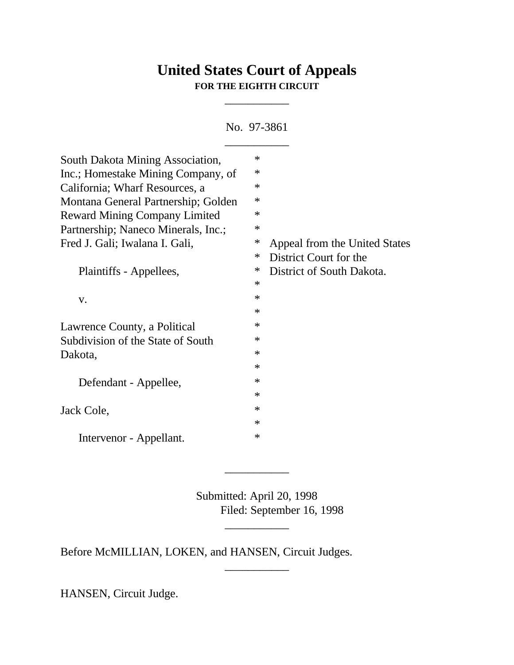# **United States Court of Appeals FOR THE EIGHTH CIRCUIT**

\_\_\_\_\_\_\_\_\_\_\_

No. 97-3861

| South Dakota Mining Association,     | $\ast$ |                               |
|--------------------------------------|--------|-------------------------------|
| Inc.; Homestake Mining Company, of   | $\ast$ |                               |
| California; Wharf Resources, a       | $\ast$ |                               |
| Montana General Partnership; Golden  | $\ast$ |                               |
| <b>Reward Mining Company Limited</b> | $\ast$ |                               |
| Partnership; Naneco Minerals, Inc.;  | $\ast$ |                               |
| Fred J. Gali; Iwalana I. Gali,       | $\ast$ | Appeal from the United States |
|                                      | ∗      | District Court for the        |
| Plaintiffs - Appellees,              | $\ast$ | District of South Dakota.     |
|                                      | $\ast$ |                               |
| V.                                   | $\ast$ |                               |
|                                      | $\ast$ |                               |
| Lawrence County, a Political         | ∗      |                               |
| Subdivision of the State of South    | $\ast$ |                               |
| Dakota,                              | $\ast$ |                               |
|                                      | $\ast$ |                               |
| Defendant - Appellee,                | $\ast$ |                               |
|                                      | $\ast$ |                               |
| Jack Cole,                           | $\ast$ |                               |
|                                      | $\ast$ |                               |
| Intervenor - Appellant.              | $\ast$ |                               |

Submitted: April 20, 1998 Filed: September 16, 1998

\_\_\_\_\_\_\_\_\_\_\_

\_\_\_\_\_\_\_\_\_\_\_

\_\_\_\_\_\_\_\_\_\_\_

Before McMILLIAN, LOKEN, and HANSEN, Circuit Judges.

HANSEN, Circuit Judge.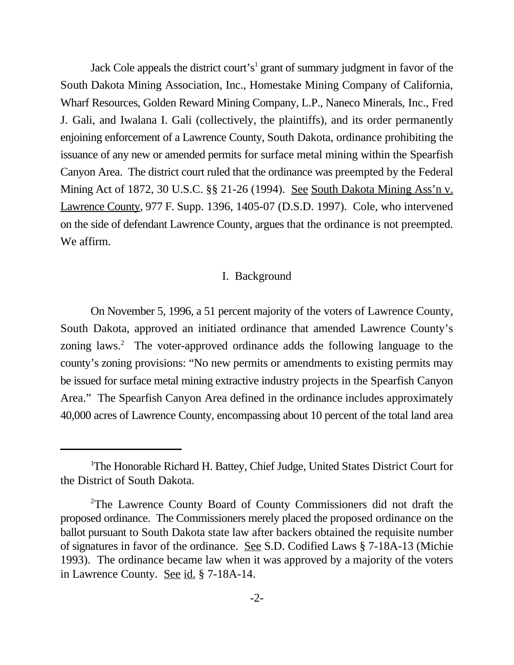Jack Cole appeals the district court's<sup>1</sup> grant of summary judgment in favor of the South Dakota Mining Association, Inc., Homestake Mining Company of California, Wharf Resources, Golden Reward Mining Company, L.P., Naneco Minerals, Inc., Fred J. Gali, and Iwalana I. Gali (collectively, the plaintiffs), and its order permanently enjoining enforcement of a Lawrence County, South Dakota, ordinance prohibiting the issuance of any new or amended permits for surface metal mining within the Spearfish Canyon Area. The district court ruled that the ordinance was preempted by the Federal Mining Act of 1872, 30 U.S.C. §§ 21-26 (1994). See South Dakota Mining Ass'n v. Lawrence County, 977 F. Supp. 1396, 1405-07 (D.S.D. 1997). Cole, who intervened on the side of defendant Lawrence County, argues that the ordinance is not preempted. We affirm.

#### I. Background

On November 5, 1996, a 51 percent majority of the voters of Lawrence County, South Dakota, approved an initiated ordinance that amended Lawrence County's zoning laws. $2$  The voter-approved ordinance adds the following language to the county's zoning provisions: "No new permits or amendments to existing permits may be issued for surface metal mining extractive industry projects in the Spearfish Canyon Area." The Spearfish Canyon Area defined in the ordinance includes approximately 40,000 acres of Lawrence County, encompassing about 10 percent of the total land area

The Honorable Richard H. Battey, Chief Judge, United States District Court for <sup>1</sup> the District of South Dakota.

 $2$ The Lawrence County Board of County Commissioners did not draft the proposed ordinance. The Commissioners merely placed the proposed ordinance on the ballot pursuant to South Dakota state law after backers obtained the requisite number of signatures in favor of the ordinance. See S.D. Codified Laws § 7-18A-13 (Michie 1993). The ordinance became law when it was approved by a majority of the voters in Lawrence County. See id. § 7-18A-14.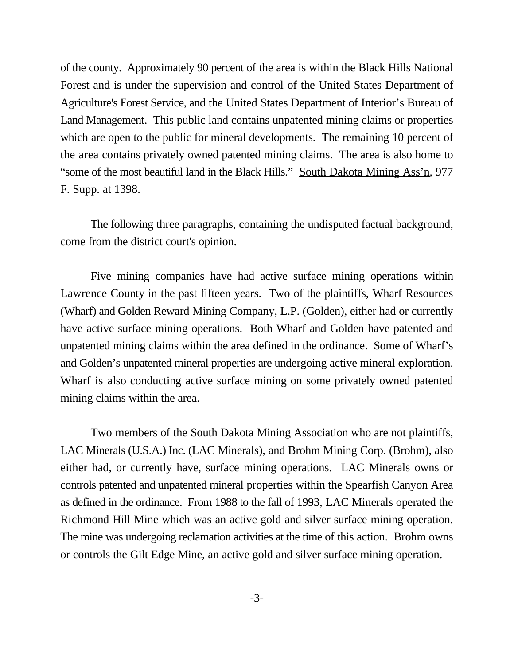of the county. Approximately 90 percent of the area is within the Black Hills National Forest and is under the supervision and control of the United States Department of Agriculture's Forest Service, and the United States Department of Interior's Bureau of Land Management. This public land contains unpatented mining claims or properties which are open to the public for mineral developments. The remaining 10 percent of the area contains privately owned patented mining claims. The area is also home to "some of the most beautiful land in the Black Hills." South Dakota Mining Ass'n, 977 F. Supp. at 1398.

The following three paragraphs, containing the undisputed factual background, come from the district court's opinion.

Five mining companies have had active surface mining operations within Lawrence County in the past fifteen years. Two of the plaintiffs, Wharf Resources (Wharf) and Golden Reward Mining Company, L.P. (Golden), either had or currently have active surface mining operations. Both Wharf and Golden have patented and unpatented mining claims within the area defined in the ordinance. Some of Wharf's and Golden's unpatented mineral properties are undergoing active mineral exploration. Wharf is also conducting active surface mining on some privately owned patented mining claims within the area.

Two members of the South Dakota Mining Association who are not plaintiffs, LAC Minerals (U.S.A.) Inc. (LAC Minerals), and Brohm Mining Corp. (Brohm), also either had, or currently have, surface mining operations. LAC Minerals owns or controls patented and unpatented mineral properties within the Spearfish Canyon Area as defined in the ordinance. From 1988 to the fall of 1993, LAC Minerals operated the Richmond Hill Mine which was an active gold and silver surface mining operation. The mine was undergoing reclamation activities at the time of this action. Brohm owns or controls the Gilt Edge Mine, an active gold and silver surface mining operation.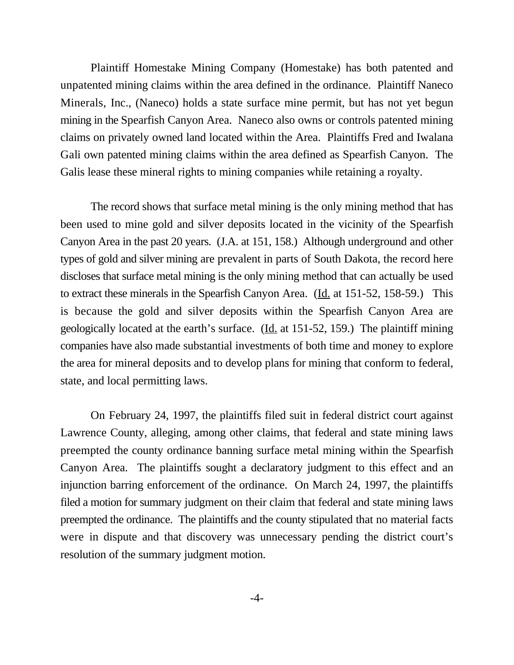Plaintiff Homestake Mining Company (Homestake) has both patented and unpatented mining claims within the area defined in the ordinance. Plaintiff Naneco Minerals, Inc., (Naneco) holds a state surface mine permit, but has not yet begun mining in the Spearfish Canyon Area. Naneco also owns or controls patented mining claims on privately owned land located within the Area. Plaintiffs Fred and Iwalana Gali own patented mining claims within the area defined as Spearfish Canyon. The Galis lease these mineral rights to mining companies while retaining a royalty.

The record shows that surface metal mining is the only mining method that has been used to mine gold and silver deposits located in the vicinity of the Spearfish Canyon Area in the past 20 years. (J.A. at 151, 158.) Although underground and other types of gold and silver mining are prevalent in parts of South Dakota, the record here discloses that surface metal mining is the only mining method that can actually be used to extract these minerals in the Spearfish Canyon Area. (Id. at 151-52, 158-59.) This is because the gold and silver deposits within the Spearfish Canyon Area are geologically located at the earth's surface. (Id. at 151-52, 159.) The plaintiff mining companies have also made substantial investments of both time and money to explore the area for mineral deposits and to develop plans for mining that conform to federal, state, and local permitting laws.

On February 24, 1997, the plaintiffs filed suit in federal district court against Lawrence County, alleging, among other claims, that federal and state mining laws preempted the county ordinance banning surface metal mining within the Spearfish Canyon Area. The plaintiffs sought a declaratory judgment to this effect and an injunction barring enforcement of the ordinance. On March 24, 1997, the plaintiffs filed a motion for summary judgment on their claim that federal and state mining laws preempted the ordinance. The plaintiffs and the county stipulated that no material facts were in dispute and that discovery was unnecessary pending the district court's resolution of the summary judgment motion.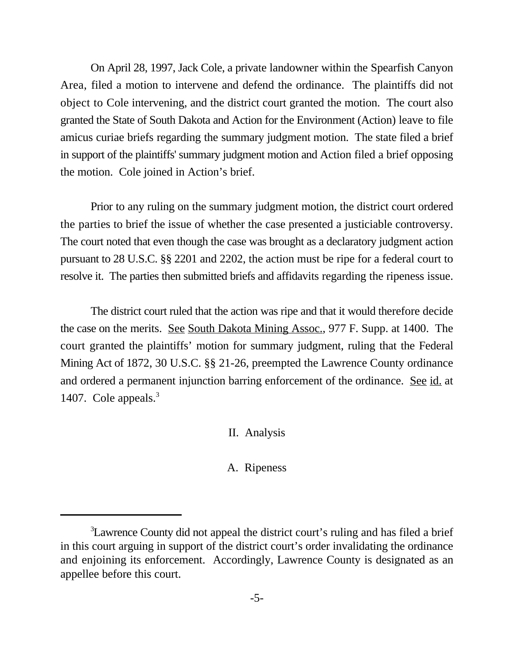On April 28, 1997, Jack Cole, a private landowner within the Spearfish Canyon Area, filed a motion to intervene and defend the ordinance. The plaintiffs did not object to Cole intervening, and the district court granted the motion. The court also granted the State of South Dakota and Action for the Environment (Action) leave to file amicus curiae briefs regarding the summary judgment motion. The state filed a brief in support of the plaintiffs' summary judgment motion and Action filed a brief opposing the motion. Cole joined in Action's brief.

Prior to any ruling on the summary judgment motion, the district court ordered the parties to brief the issue of whether the case presented a justiciable controversy. The court noted that even though the case was brought as a declaratory judgment action pursuant to 28 U.S.C. §§ 2201 and 2202, the action must be ripe for a federal court to resolve it. The parties then submitted briefs and affidavits regarding the ripeness issue.

The district court ruled that the action was ripe and that it would therefore decide the case on the merits. See South Dakota Mining Assoc., 977 F. Supp. at 1400. The court granted the plaintiffs' motion for summary judgment, ruling that the Federal Mining Act of 1872, 30 U.S.C. §§ 21-26, preempted the Lawrence County ordinance and ordered a permanent injunction barring enforcement of the ordinance. See id. at 1407. Cole appeals.<sup>3</sup>

II. Analysis

#### A. Ripeness

<sup>&</sup>lt;sup>3</sup>Lawrence County did not appeal the district court's ruling and has filed a brief in this court arguing in support of the district court's order invalidating the ordinance and enjoining its enforcement. Accordingly, Lawrence County is designated as an appellee before this court.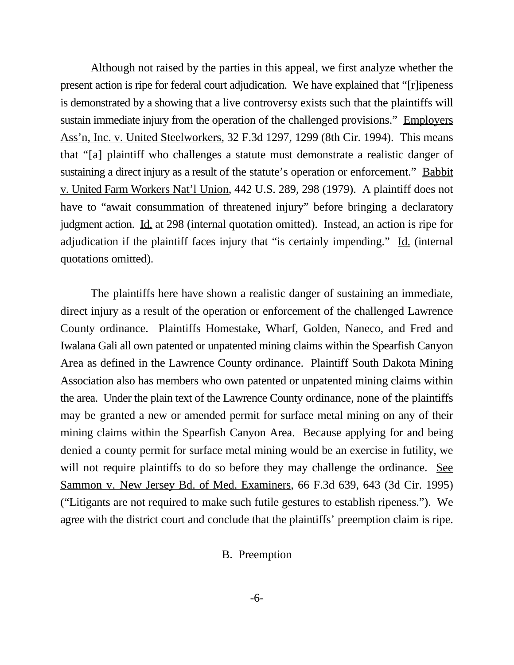Although not raised by the parties in this appeal, we first analyze whether the present action is ripe for federal court adjudication. We have explained that "[r]ipeness is demonstrated by a showing that a live controversy exists such that the plaintiffs will sustain immediate injury from the operation of the challenged provisions." Employers Ass'n, Inc. v. United Steelworkers, 32 F.3d 1297, 1299 (8th Cir. 1994). This means that "[a] plaintiff who challenges a statute must demonstrate a realistic danger of sustaining a direct injury as a result of the statute's operation or enforcement." Babbit v. United Farm Workers Nat'l Union, 442 U.S. 289, 298 (1979). A plaintiff does not have to "await consummation of threatened injury" before bringing a declaratory judgment action. Id. at 298 (internal quotation omitted). Instead, an action is ripe for adjudication if the plaintiff faces injury that "is certainly impending." Id. (internal quotations omitted).

The plaintiffs here have shown a realistic danger of sustaining an immediate, direct injury as a result of the operation or enforcement of the challenged Lawrence County ordinance. Plaintiffs Homestake, Wharf, Golden, Naneco, and Fred and Iwalana Gali all own patented or unpatented mining claims within the Spearfish Canyon Area as defined in the Lawrence County ordinance. Plaintiff South Dakota Mining Association also has members who own patented or unpatented mining claims within the area. Under the plain text of the Lawrence County ordinance, none of the plaintiffs may be granted a new or amended permit for surface metal mining on any of their mining claims within the Spearfish Canyon Area. Because applying for and being denied a county permit for surface metal mining would be an exercise in futility, we will not require plaintiffs to do so before they may challenge the ordinance. See Sammon v. New Jersey Bd. of Med. Examiners, 66 F.3d 639, 643 (3d Cir. 1995) ("Litigants are not required to make such futile gestures to establish ripeness."). We agree with the district court and conclude that the plaintiffs' preemption claim is ripe.

B. Preemption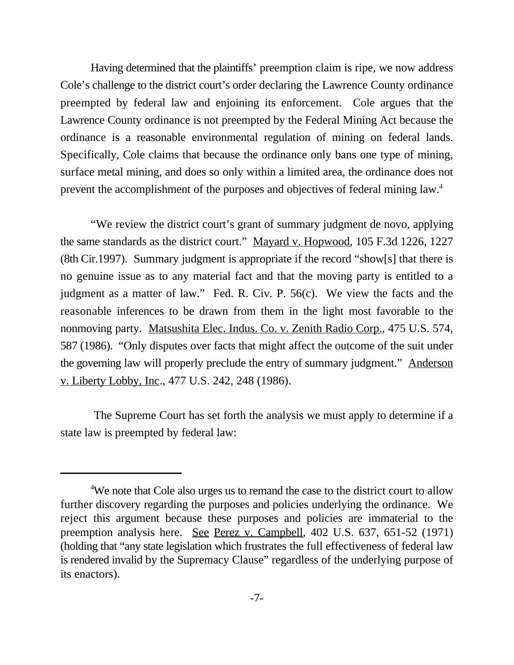Having determined that the plaintiffs' preemption claim is ripe, we now address Cole's challenge to the district court's order declaring the Lawrence County ordinance preempted by federal law and enjoining its enforcement. Cole argues that the Lawrence County ordinance is not preempted by the Federal Mining Act because the ordinance is a reasonable environmental regulation of mining on federal lands. Specifically, Cole claims that because the ordinance only bans one type of mining, surface metal mining, and does so only within a limited area, the ordinance does not prevent the accomplishment of the purposes and objectives of federal mining law.<sup>4</sup>

"We review the district court's grant of summary judgment de novo, applying the same standards as the district court." Mayard v. Hopwood, 105 F.3d 1226, 1227 (8th Cir.1997). Summary judgment is appropriate if the record "show[s] that there is no genuine issue as to any material fact and that the moving party is entitled to a judgment as a matter of law." Fed. R. Civ. P. 56(c). We view the facts and the reasonable inferences to be drawn from them in the light most favorable to the nonmoving party. Matsushita Elec. Indus. Co. v. Zenith Radio Corp., 475 U.S. 574, 587 (1986). "Only disputes over facts that might affect the outcome of the suit under the governing law will properly preclude the entry of summary judgment." Anderson v. Liberty Lobby, Inc., 477 U.S. 242, 248 (1986).

 The Supreme Court has set forth the analysis we must apply to determine if a state law is preempted by federal law:

<sup>&</sup>lt;sup>4</sup>We note that Cole also urges us to remand the case to the district court to allow further discovery regarding the purposes and policies underlying the ordinance. We reject this argument because these purposes and policies are immaterial to the preemption analysis here. See Perez v. Campbell, 402 U.S. 637, 651-52 (1971) (holding that "any state legislation which frustrates the full effectiveness of federal law is rendered invalid by the Supremacy Clause" regardless of the underlying purpose of its enactors).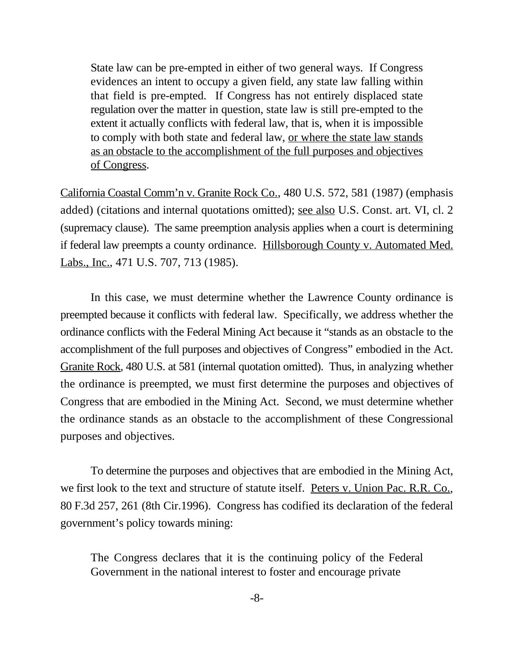State law can be pre-empted in either of two general ways. If Congress evidences an intent to occupy a given field, any state law falling within that field is pre-empted. If Congress has not entirely displaced state regulation over the matter in question, state law is still pre-empted to the extent it actually conflicts with federal law, that is, when it is impossible to comply with both state and federal law, or where the state law stands as an obstacle to the accomplishment of the full purposes and objectives of Congress.

California Coastal Comm'n v. Granite Rock Co., 480 U.S. 572, 581 (1987) (emphasis added) (citations and internal quotations omitted); see also U.S. Const. art. VI, cl. 2 (supremacy clause). The same preemption analysis applies when a court is determining if federal law preempts a county ordinance. Hillsborough County v. Automated Med. Labs., Inc., 471 U.S. 707, 713 (1985).

In this case, we must determine whether the Lawrence County ordinance is preempted because it conflicts with federal law. Specifically, we address whether the ordinance conflicts with the Federal Mining Act because it "stands as an obstacle to the accomplishment of the full purposes and objectives of Congress" embodied in the Act. Granite Rock, 480 U.S. at 581 (internal quotation omitted). Thus, in analyzing whether the ordinance is preempted, we must first determine the purposes and objectives of Congress that are embodied in the Mining Act. Second, we must determine whether the ordinance stands as an obstacle to the accomplishment of these Congressional purposes and objectives.

To determine the purposes and objectives that are embodied in the Mining Act, we first look to the text and structure of statute itself. Peters v. Union Pac. R.R. Co., 80 F.3d 257, 261 (8th Cir.1996). Congress has codified its declaration of the federal government's policy towards mining:

The Congress declares that it is the continuing policy of the Federal Government in the national interest to foster and encourage private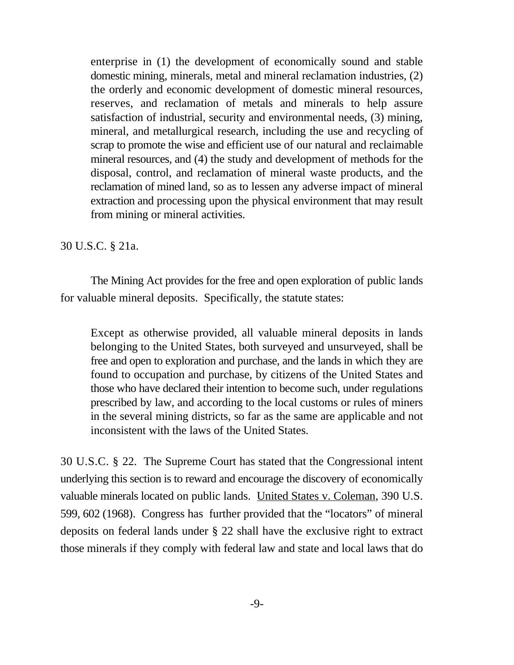enterprise in (1) the development of economically sound and stable domestic mining, minerals, metal and mineral reclamation industries, (2) the orderly and economic development of domestic mineral resources, reserves, and reclamation of metals and minerals to help assure satisfaction of industrial, security and environmental needs, (3) mining, mineral, and metallurgical research, including the use and recycling of scrap to promote the wise and efficient use of our natural and reclaimable mineral resources, and (4) the study and development of methods for the disposal, control, and reclamation of mineral waste products, and the reclamation of mined land, so as to lessen any adverse impact of mineral extraction and processing upon the physical environment that may result from mining or mineral activities.

### 30 U.S.C. § 21a.

The Mining Act provides for the free and open exploration of public lands for valuable mineral deposits. Specifically, the statute states:

Except as otherwise provided, all valuable mineral deposits in lands belonging to the United States, both surveyed and unsurveyed, shall be free and open to exploration and purchase, and the lands in which they are found to occupation and purchase, by citizens of the United States and those who have declared their intention to become such, under regulations prescribed by law, and according to the local customs or rules of miners in the several mining districts, so far as the same are applicable and not inconsistent with the laws of the United States.

30 U.S.C. § 22. The Supreme Court has stated that the Congressional intent underlying this section is to reward and encourage the discovery of economically valuable minerals located on public lands. United States v. Coleman, 390 U.S. 599, 602 (1968). Congress has further provided that the "locators" of mineral deposits on federal lands under § 22 shall have the exclusive right to extract those minerals if they comply with federal law and state and local laws that do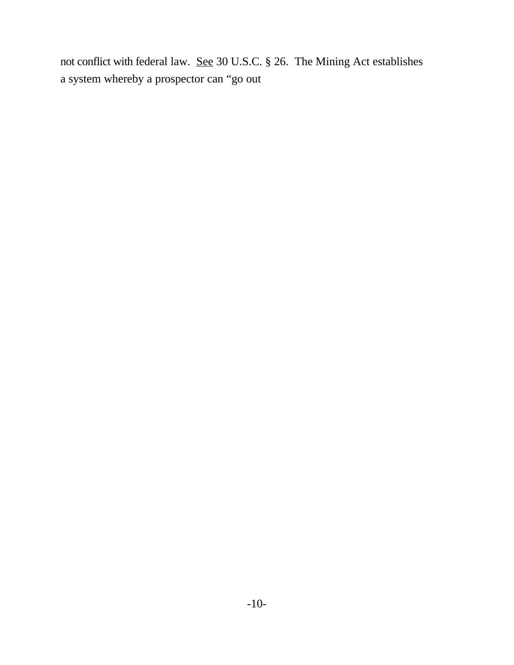not conflict with federal law. See 30 U.S.C. § 26. The Mining Act establishes a system whereby a prospector can "go out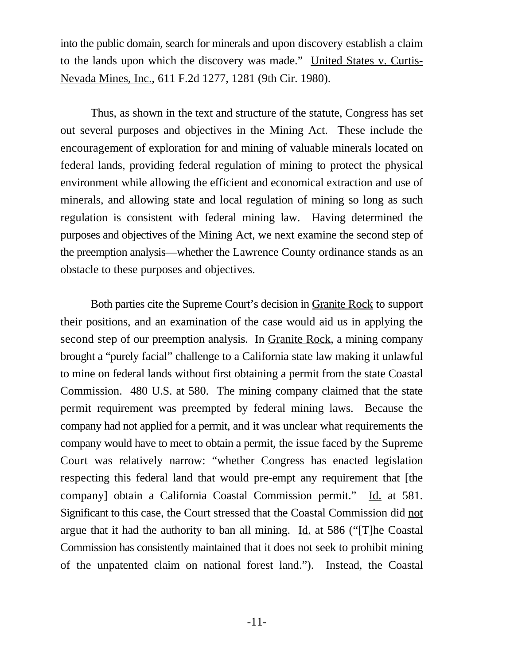into the public domain, search for minerals and upon discovery establish a claim to the lands upon which the discovery was made." United States v. Curtis-Nevada Mines, Inc., 611 F.2d 1277, 1281 (9th Cir. 1980).

Thus, as shown in the text and structure of the statute, Congress has set out several purposes and objectives in the Mining Act. These include the encouragement of exploration for and mining of valuable minerals located on federal lands, providing federal regulation of mining to protect the physical environment while allowing the efficient and economical extraction and use of minerals, and allowing state and local regulation of mining so long as such regulation is consistent with federal mining law. Having determined the purposes and objectives of the Mining Act, we next examine the second step of the preemption analysis—whether the Lawrence County ordinance stands as an obstacle to these purposes and objectives.

Both parties cite the Supreme Court's decision in Granite Rock to support their positions, and an examination of the case would aid us in applying the second step of our preemption analysis. In Granite Rock, a mining company brought a "purely facial" challenge to a California state law making it unlawful to mine on federal lands without first obtaining a permit from the state Coastal Commission. 480 U.S. at 580. The mining company claimed that the state permit requirement was preempted by federal mining laws. Because the company had not applied for a permit, and it was unclear what requirements the company would have to meet to obtain a permit, the issue faced by the Supreme Court was relatively narrow: "whether Congress has enacted legislation respecting this federal land that would pre-empt any requirement that [the company] obtain a California Coastal Commission permit." Id. at 581. Significant to this case, the Court stressed that the Coastal Commission did not argue that it had the authority to ban all mining. Id. at 586 (" $[T]$ he Coastal Commission has consistently maintained that it does not seek to prohibit mining of the unpatented claim on national forest land."). Instead, the Coastal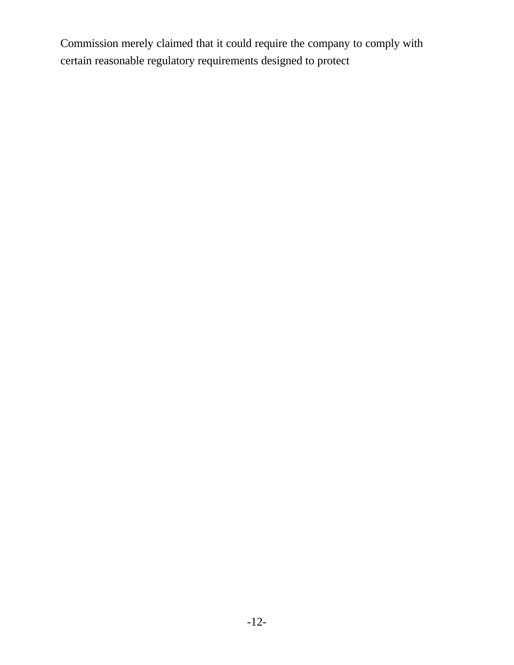Commission merely claimed that it could require the company to comply with certain reasonable regulatory requirements designed to protect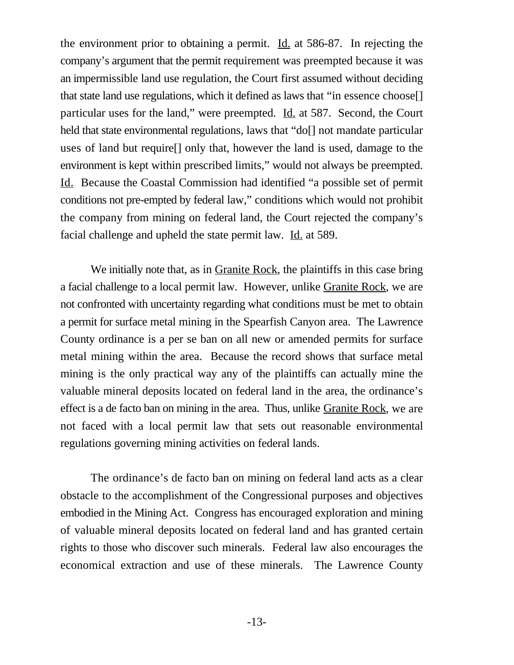the environment prior to obtaining a permit. Id. at 586-87. In rejecting the company's argument that the permit requirement was preempted because it was an impermissible land use regulation, the Court first assumed without deciding that state land use regulations, which it defined as laws that "in essence choose[] particular uses for the land," were preempted. Id. at 587. Second, the Court held that state environmental regulations, laws that "do[] not mandate particular uses of land but require[] only that, however the land is used, damage to the environment is kept within prescribed limits," would not always be preempted. Id. Because the Coastal Commission had identified "a possible set of permit conditions not pre-empted by federal law," conditions which would not prohibit the company from mining on federal land, the Court rejected the company's facial challenge and upheld the state permit law. Id. at 589.

We initially note that, as in Granite Rock, the plaintiffs in this case bring a facial challenge to a local permit law. However, unlike Granite Rock, we are not confronted with uncertainty regarding what conditions must be met to obtain a permit for surface metal mining in the Spearfish Canyon area. The Lawrence County ordinance is a per se ban on all new or amended permits for surface metal mining within the area. Because the record shows that surface metal mining is the only practical way any of the plaintiffs can actually mine the valuable mineral deposits located on federal land in the area, the ordinance's effect is a de facto ban on mining in the area. Thus, unlike Granite Rock, we are not faced with a local permit law that sets out reasonable environmental regulations governing mining activities on federal lands.

The ordinance's de facto ban on mining on federal land acts as a clear obstacle to the accomplishment of the Congressional purposes and objectives embodied in the Mining Act. Congress has encouraged exploration and mining of valuable mineral deposits located on federal land and has granted certain rights to those who discover such minerals. Federal law also encourages the economical extraction and use of these minerals. The Lawrence County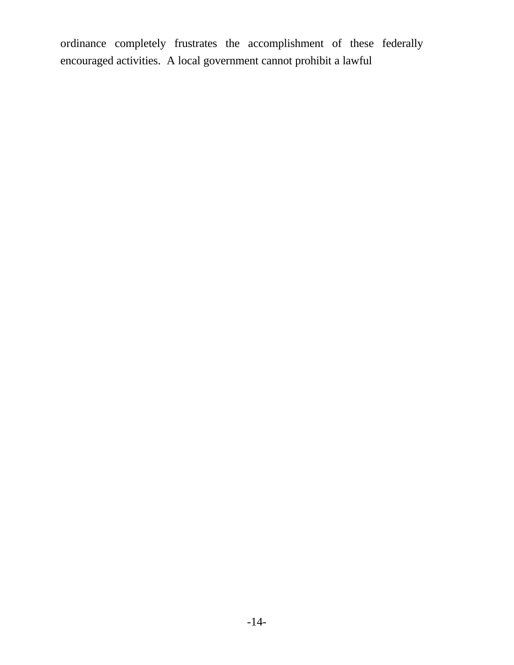ordinance completely frustrates the accomplishment of these federally encouraged activities. A local government cannot prohibit a lawful